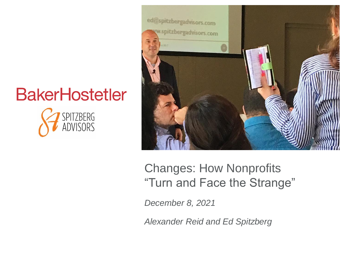



### Changes: How Nonprofits "Turn and Face the Strange"

*December 8, 2021*

*Alexander Reid and Ed Spitzberg*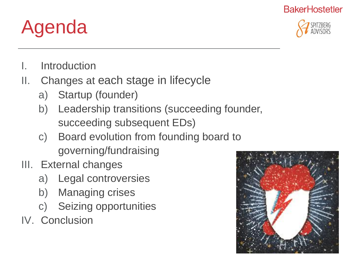

- Agenda
- I. Introduction
- II. Changes at each stage in lifecycle
	- a) Startup (founder)
	- b) Leadership transitions (succeeding founder, succeeding subsequent EDs)
	- c) Board evolution from founding board to governing/fundraising
- III. External changes
	- a) Legal controversies
	- b) Managing crises
	- c) Seizing opportunities

IV. Conclusion

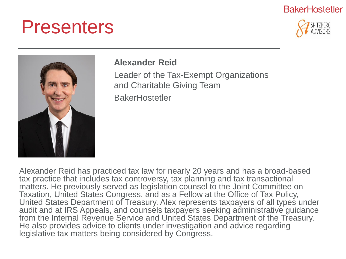### Presenters





#### **Alexander Reid**

Leader of the Tax-Exempt Organizations and Charitable Giving Team **BakerHostetler** 

Alexander Reid has practiced tax law for nearly 20 years and has a broad-based tax practice that includes tax controversy, tax planning and tax transactional matters. He previously served as legislation counsel to the Joint Committee on Taxation, United States Congress, and as a Fellow at the Office of Tax Policy, United States Department of Treasury. Alex represents taxpayers of all types under audit and at IRS Appeals, and counsels taxpayers seeking administrative guidance from the Internal Revenue Service and United States Department of the Treasury. He also provides advice to clients under investigation and advice regarding legislative tax matters being considered by Congress.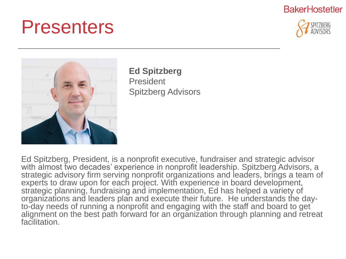### Presenters







**Ed Spitzberg** President Spitzberg Advisors

Ed Spitzberg, President, is a nonprofit executive, fundraiser and strategic advisor with almost two decades' experience in nonprofit leadership. Spitzberg Advisors, a strategic advisory firm serving nonprofit organizations and leaders, brings a team of experts to draw upon for each project. With experience in board development, strategic planning, fundraising and implementation, Ed has helped a variety of organizations and leaders plan and execute their future. He understands the dayto-day needs of running a nonprofit and engaging with the staff and board to get alignment on the best path forward for an organization through planning and retreat facilitation.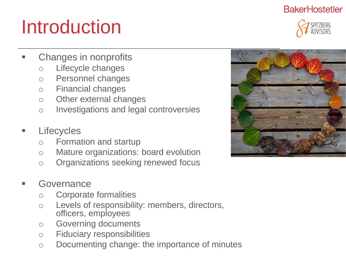

## Introduction

- Changes in nonprofits
	- o Lifecycle changes
	- o Personnel changes
	- o Financial changes
	- o Other external changes
	- o Investigations and legal controversies
- Lifecycles
	- o Formation and startup
	- o Mature organizations: board evolution
	- o Organizations seeking renewed focus
- **Governance** 
	- o Corporate formalities
	- o Levels of responsibility: members, directors, officers, employees
	- o Governing documents
	- o Fiduciary responsibilities
	- o Documenting change: the importance of minutes

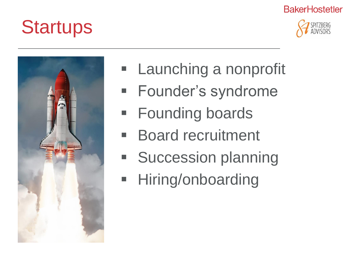



**Startups** 

- **E** Launching a nonprofit
- **E** Founder's syndrome
- **E** Founding boards
- Board recruitment
- Succession planning
- **E** Hiring/onboarding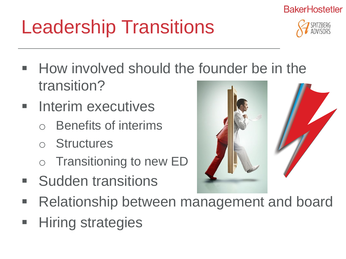# Leadership Transitions

- How involved should the founder be in the transition?
- Interim executives
	- **Benefits of interims**
	- o Structures
	- o Transitioning to new ED
- **Sudden transitions**
- **Relationship between management and board**
- **Hiring strategies**





**BakerHostetler**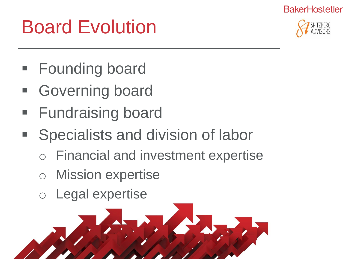## Board Evolution



- **Founding board**
- **Governing board**
- **Fundraising board**
- Specialists and division of labor
	- **Financial and investment expertise**
	- **Mission expertise**
	- Legal expertise

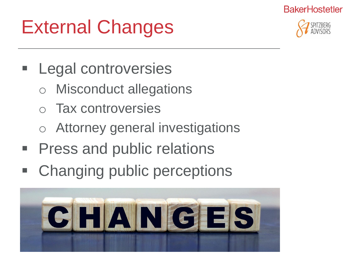## External Changes



- **Legal controversies** 
	- Misconduct allegations
	- o Tax controversies
	- o Attorney general investigations
- Press and public relations
- Changing public perceptions

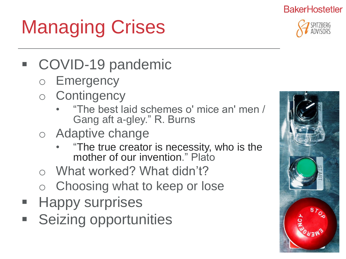

# Managing Crises

- COVID-19 pandemic
	- o Emergency
	- o Contingency
		- "The best laid schemes o' mice an' men / Gang aft a-gley." R. Burns
	- o Adaptive change
		- "The true creator is necessity, who is the mother of our invention." Plato
	- o What worked? What didn't?
	- Choosing what to keep or lose
- **Happy surprises**
- **Seizing opportunities**

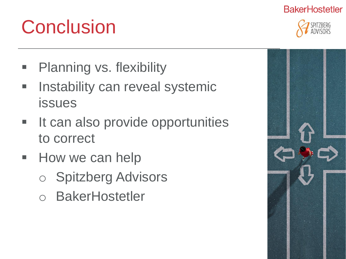## **Conclusion**

- **Planning vs. flexibility**
- **EXEDENT Instability can reveal systemic** issues
- **It can also provide opportunities** to correct
- **E** How we can help
	- **Spitzberg Advisors**
	- **BakerHostetler**